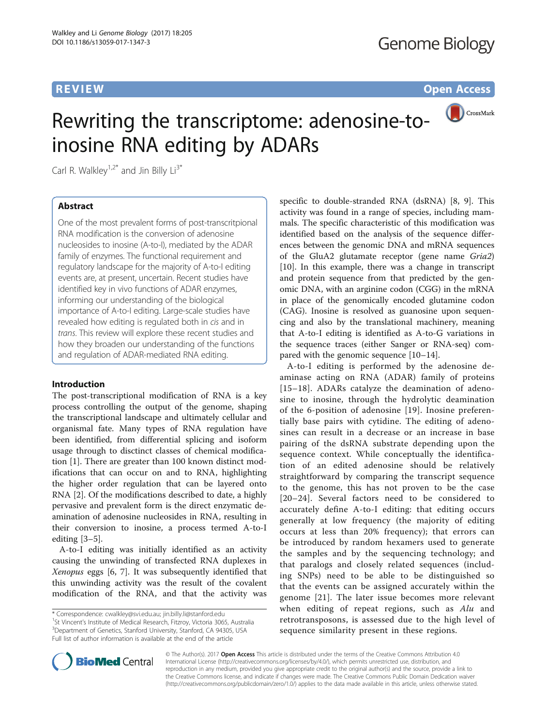**REVIEW CONSIDERING CONSIDERING CONSIDERING CONSIDERING CONSIDERING CONSIDERING CONSIDERING CONSIDERING CONSIDERING CONSIDERING CONSIDERING CONSIDERING CONSIDERING CONSIDERING CONSIDERING CONSIDERING CONSIDERING CONSIDER** 

CrossMark

# Rewriting the transcriptome: adenosine-toinosine RNA editing by ADARs

Carl R. Walkley<sup>1,2\*</sup> and Jin Billy  $Li^{3*}$ 

# Abstract

One of the most prevalent forms of post-transcritpional RNA modification is the conversion of adenosine nucleosides to inosine (A-to-I), mediated by the ADAR family of enzymes. The functional requirement and regulatory landscape for the majority of A-to-I editing events are, at present, uncertain. Recent studies have identified key in vivo functions of ADAR enzymes, informing our understanding of the biological importance of A-to-I editing. Large-scale studies have revealed how editing is regulated both in cis and in trans. This review will explore these recent studies and how they broaden our understanding of the functions and regulation of ADAR-mediated RNA editing.

# Introduction

The post-transcriptional modification of RNA is a key process controlling the output of the genome, shaping the transcriptional landscape and ultimately cellular and organismal fate. Many types of RNA regulation have been identified, from differential splicing and isoform usage through to disctinct classes of chemical modification [\[1\]](#page-9-0). There are greater than 100 known distinct modifications that can occur on and to RNA, highlighting the higher order regulation that can be layered onto RNA [\[2](#page-9-0)]. Of the modifications described to date, a highly pervasive and prevalent form is the direct enzymatic deamination of adenosine nucleosides in RNA, resulting in their conversion to inosine, a process termed A-to-I editing [[3](#page-9-0)–[5\]](#page-9-0).

A-to-I editing was initially identified as an activity causing the unwinding of transfected RNA duplexes in Xenopus eggs [[6, 7\]](#page-9-0). It was subsequently identified that this unwinding activity was the result of the covalent modification of the RNA, and that the activity was

<sup>1</sup>St Vincent's Institute of Medical Research, Fitzroy, Victoria 3065, Australia <sup>3</sup>Department of Genetics, Stanford University, Stanford, CA 94305, USA Full list of author information is available at the end of the article

specific to double-stranded RNA (dsRNA) [[8](#page-9-0), [9](#page-9-0)]. This activity was found in a range of species, including mammals. The specific characteristic of this modification was identified based on the analysis of the sequence differences between the genomic DNA and mRNA sequences of the GluA2 glutamate receptor (gene name Gria2) [[10\]](#page-9-0). In this example, there was a change in transcript and protein sequence from that predicted by the genomic DNA, with an arginine codon (CGG) in the mRNA in place of the genomically encoded glutamine codon (CAG). Inosine is resolved as guanosine upon sequencing and also by the translational machinery, meaning that A-to-I editing is identified as A-to-G variations in the sequence traces (either Sanger or RNA-seq) compared with the genomic sequence [\[10](#page-9-0)–[14\]](#page-9-0).

A-to-I editing is performed by the adenosine deaminase acting on RNA (ADAR) family of proteins [[15](#page-9-0)–[18\]](#page-9-0). ADARs catalyze the deamination of adenosine to inosine, through the hydrolytic deamination of the 6-position of adenosine [[19](#page-9-0)]. Inosine preferentially base pairs with cytidine. The editing of adenosines can result in a decrease or an increase in base pairing of the dsRNA substrate depending upon the sequence context. While conceptually the identification of an edited adenosine should be relatively straightforward by comparing the transcript sequence to the genome, this has not proven to be the case [[20](#page-9-0)–[24\]](#page-9-0). Several factors need to be considered to accurately define A-to-I editing: that editing occurs generally at low frequency (the majority of editing occurs at less than 20% frequency); that errors can be introduced by random hexamers used to generate the samples and by the sequencing technology; and that paralogs and closely related sequences (including SNPs) need to be able to be distinguished so that the events can be assigned accurately within the genome [[21](#page-9-0)]. The later issue becomes more relevant when editing of repeat regions, such as Alu and retrotransposons, is assessed due to the high level of sequence similarity present in these regions.



© The Author(s). 2017 **Open Access** This article is distributed under the terms of the Creative Commons Attribution 4.0 International License [\(http://creativecommons.org/licenses/by/4.0/](http://creativecommons.org/licenses/by/4.0/)), which permits unrestricted use, distribution, and reproduction in any medium, provided you give appropriate credit to the original author(s) and the source, provide a link to the Creative Commons license, and indicate if changes were made. The Creative Commons Public Domain Dedication waiver [\(http://creativecommons.org/publicdomain/zero/1.0/](http://creativecommons.org/publicdomain/zero/1.0/)) applies to the data made available in this article, unless otherwise stated.

<sup>\*</sup> Correspondence: [cwalkley@svi.edu.au](mailto:cwalkley@svi.edu.au); [jin.billy.li@stanford.edu](mailto:jin.billy.li@stanford.edu) <sup>1</sup>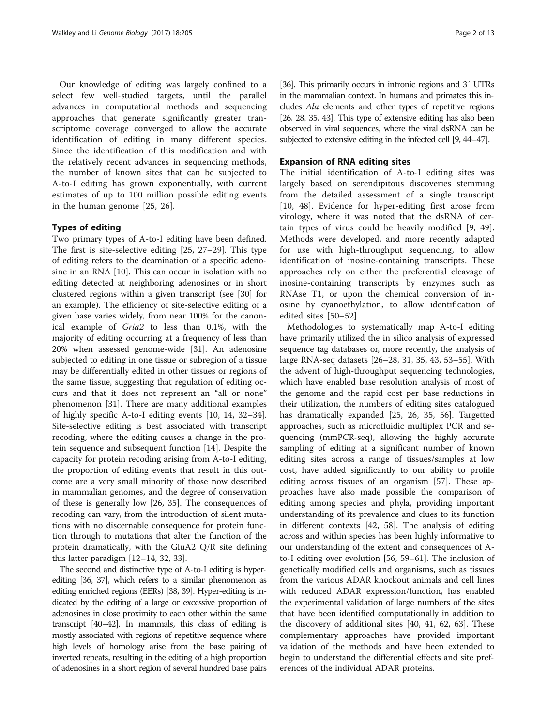Our knowledge of editing was largely confined to a select few well-studied targets, until the parallel advances in computational methods and sequencing approaches that generate significantly greater transcriptome coverage converged to allow the accurate identification of editing in many different species. Since the identification of this modification and with the relatively recent advances in sequencing methods, the number of known sites that can be subjected to A-to-I editing has grown exponentially, with current estimates of up to 100 million possible editing events in the human genome [[25, 26\]](#page-9-0).

## Types of editing

Two primary types of A-to-I editing have been defined. The first is site-selective editing [[25](#page-9-0), [27](#page-9-0)–[29](#page-9-0)]. This type of editing refers to the deamination of a specific adenosine in an RNA [[10\]](#page-9-0). This can occur in isolation with no editing detected at neighboring adenosines or in short clustered regions within a given transcript (see [[30\]](#page-9-0) for an example). The efficiency of site-selective editing of a given base varies widely, from near 100% for the canonical example of Gria2 to less than 0.1%, with the majority of editing occurring at a frequency of less than 20% when assessed genome-wide [[31](#page-9-0)]. An adenosine subjected to editing in one tissue or subregion of a tissue may be differentially edited in other tissues or regions of the same tissue, suggesting that regulation of editing occurs and that it does not represent an "all or none" phenomenon [[31\]](#page-9-0). There are many additional examples of highly specific A-to-I editing events [\[10](#page-9-0), [14](#page-9-0), [32](#page-9-0)–[34](#page-9-0)]. Site-selective editing is best associated with transcript recoding, where the editing causes a change in the protein sequence and subsequent function [[14\]](#page-9-0). Despite the capacity for protein recoding arising from A-to-I editing, the proportion of editing events that result in this outcome are a very small minority of those now described in mammalian genomes, and the degree of conservation of these is generally low [[26, 35\]](#page-9-0). The consequences of recoding can vary, from the introduction of silent mutations with no discernable consequence for protein function through to mutations that alter the function of the protein dramatically, with the GluA2 Q/R site defining this latter paradigm [\[12](#page-9-0)–[14, 32, 33\]](#page-9-0).

The second and distinctive type of A-to-I editing is hyperediting [\[36](#page-9-0), [37\]](#page-9-0), which refers to a similar phenomenon as editing enriched regions (EERs) [\[38](#page-10-0), [39](#page-10-0)]. Hyper-editing is indicated by the editing of a large or excessive proportion of adenosines in close proximity to each other within the same transcript [\[40](#page-10-0)–[42](#page-10-0)]. In mammals, this class of editing is mostly associated with regions of repetitive sequence where high levels of homology arise from the base pairing of inverted repeats, resulting in the editing of a high proportion of adenosines in a short region of several hundred base pairs

[[36\]](#page-9-0). This primarily occurs in intronic regions and 3' UTRs in the mammalian context. In humans and primates this includes Alu elements and other types of repetitive regions [[26, 28](#page-9-0), [35,](#page-9-0) [43](#page-10-0)]. This type of extensive editing has also been observed in viral sequences, where the viral dsRNA can be subjected to extensive editing in the infected cell [\[9,](#page-9-0) [44](#page-10-0)–[47\]](#page-10-0).

# Expansion of RNA editing sites

The initial identification of A-to-I editing sites was largely based on serendipitous discoveries stemming from the detailed assessment of a single transcript [[10,](#page-9-0) [48\]](#page-10-0). Evidence for hyper-editing first arose from virology, where it was noted that the dsRNA of certain types of virus could be heavily modified [[9](#page-9-0), [49](#page-10-0)]. Methods were developed, and more recently adapted for use with high-throughput sequencing, to allow identification of inosine-containing transcripts. These approaches rely on either the preferential cleavage of inosine-containing transcripts by enzymes such as RNAse T1, or upon the chemical conversion of inosine by cyanoethylation, to allow identification of edited sites [\[50](#page-10-0)–[52](#page-10-0)].

Methodologies to systematically map A-to-I editing have primarily utilized the in silico analysis of expressed sequence tag databases or, more recently, the analysis of large RNA-seq datasets [\[26](#page-9-0)–[28, 31, 35](#page-9-0), [43](#page-10-0), [53](#page-10-0)–[55](#page-10-0)]. With the advent of high-throughput sequencing technologies, which have enabled base resolution analysis of most of the genome and the rapid cost per base reductions in their utilization, the numbers of editing sites catalogued has dramatically expanded [[25, 26](#page-9-0), [35,](#page-9-0) [56\]](#page-10-0). Targetted approaches, such as microfluidic multiplex PCR and sequencing (mmPCR-seq), allowing the highly accurate sampling of editing at a significant number of known editing sites across a range of tissues/samples at low cost, have added significantly to our ability to profile editing across tissues of an organism [\[57](#page-10-0)]. These approaches have also made possible the comparison of editing among species and phyla, providing important understanding of its prevalence and clues to its function in different contexts [[42, 58](#page-10-0)]. The analysis of editing across and within species has been highly informative to our understanding of the extent and consequences of Ato-I editing over evolution [[56, 59](#page-10-0)–[61\]](#page-10-0). The inclusion of genetically modified cells and organisms, such as tissues from the various ADAR knockout animals and cell lines with reduced ADAR expression/function, has enabled the experimental validation of large numbers of the sites that have been identified computationally in addition to the discovery of additional sites [\[40](#page-10-0), [41](#page-10-0), [62](#page-10-0), [63\]](#page-10-0). These complementary approaches have provided important validation of the methods and have been extended to begin to understand the differential effects and site preferences of the individual ADAR proteins.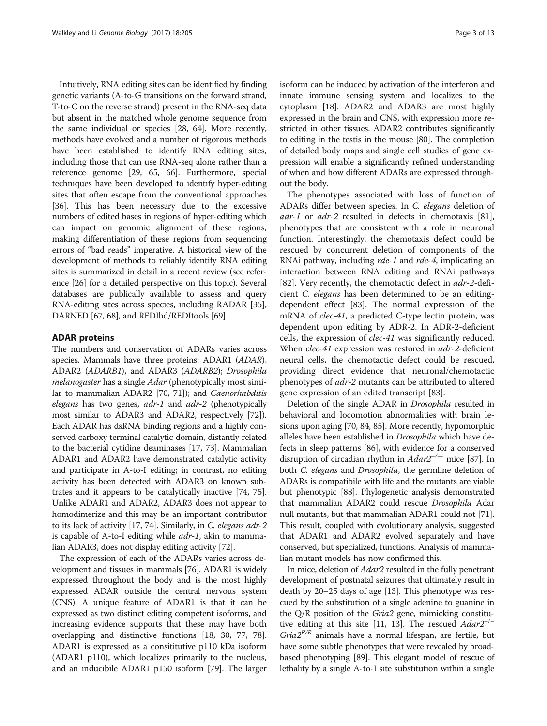Intuitively, RNA editing sites can be identified by finding genetic variants (A-to-G transitions on the forward strand, T-to-C on the reverse strand) present in the RNA-seq data but absent in the matched whole genome sequence from the same individual or species [\[28](#page-9-0), [64\]](#page-10-0). More recently, methods have evolved and a number of rigorous methods have been established to identify RNA editing sites, including those that can use RNA-seq alone rather than a reference genome [\[29,](#page-9-0) [65, 66\]](#page-10-0). Furthermore, special techniques have been developed to identify hyper-editing sites that often escape from the conventional approaches [[36](#page-9-0)]. This has been necessary due to the excessive numbers of edited bases in regions of hyper-editing which can impact on genomic alignment of these regions, making differentiation of these regions from sequencing errors of "bad reads" imperative. A historical view of the development of methods to reliably identify RNA editing sites is summarized in detail in a recent review (see reference [\[26](#page-9-0)] for a detailed perspective on this topic). Several databases are publically available to assess and query RNA-editing sites across species, including RADAR [[35](#page-9-0)], DARNED [\[67, 68](#page-10-0)], and REDIbd/REDItools [\[69\]](#page-10-0).

## ADAR proteins

The numbers and conservation of ADARs varies across species. Mammals have three proteins: ADAR1 (ADAR), ADAR2 (ADARB1), and ADAR3 (ADARB2); Drosophila melanogaster has a single *Adar* (phenotypically most similar to mammalian ADAR2 [\[70, 71](#page-10-0)]); and Caenorhabditis elegans has two genes, adr-1 and adr-2 (phenotypically most similar to ADAR3 and ADAR2, respectively [[72](#page-10-0)]). Each ADAR has dsRNA binding regions and a highly conserved carboxy terminal catalytic domain, distantly related to the bacterial cytidine deaminases [[17](#page-9-0), [73\]](#page-10-0). Mammalian ADAR1 and ADAR2 have demonstrated catalytic activity and participate in A-to-I editing; in contrast, no editing activity has been detected with ADAR3 on known subtrates and it appears to be catalytically inactive [[74, 75](#page-10-0)]. Unlike ADAR1 and ADAR2, ADAR3 does not appear to homodimerize and this may be an important contributor to its lack of activity [\[17,](#page-9-0) [74](#page-10-0)]. Similarly, in C. elegans adr-2 is capable of A-to-I editing while  $adr-1$ , akin to mammalian ADAR3, does not display editing activity [\[72\]](#page-10-0).

The expression of each of the ADARs varies across development and tissues in mammals [\[76\]](#page-10-0). ADAR1 is widely expressed throughout the body and is the most highly expressed ADAR outside the central nervous system (CNS). A unique feature of ADAR1 is that it can be expressed as two distinct editing competent isoforms, and increasing evidence supports that these may have both overlapping and distinctive functions [[18](#page-9-0), [30](#page-9-0), [77, 78](#page-10-0)]. ADAR1 is expressed as a consititutive p110 kDa isoform (ADAR1 p110), which localizes primarily to the nucleus, and an inducibile ADAR1 p150 isoform [[79\]](#page-10-0). The larger

isoform can be induced by activation of the interferon and innate immune sensing system and localizes to the cytoplasm [\[18\]](#page-9-0). ADAR2 and ADAR3 are most highly expressed in the brain and CNS, with expression more restricted in other tissues. ADAR2 contributes significantly to editing in the testis in the mouse [\[80\]](#page-10-0). The completion of detailed body maps and single cell studies of gene expression will enable a significantly refined understanding of when and how different ADARs are expressed throughout the body.

The phenotypes associated with loss of function of ADARs differ between species. In C. elegans deletion of adr-1 or adr-2 resulted in defects in chemotaxis [\[81](#page-10-0)], phenotypes that are consistent with a role in neuronal function. Interestingly, the chemotaxis defect could be rescued by concurrent deletion of components of the RNAi pathway, including *rde-1* and *rde-4*, implicating an interaction between RNA editing and RNAi pathways [[82\]](#page-10-0). Very recently, the chemotactic defect in *adr-2-*deficient C. elegans has been determined to be an editingdependent effect [[83](#page-10-0)]. The normal expression of the mRNA of clec-41, a predicted C-type lectin protein, was dependent upon editing by ADR-2. In ADR-2-deficient cells, the expression of clec-41 was significantly reduced. When *clec-41* expression was restored in *adr-2-deficient* neural cells, the chemotactic defect could be rescued, providing direct evidence that neuronal/chemotactic phenotypes of adr-2 mutants can be attributed to altered gene expression of an edited transcript [[83\]](#page-10-0).

Deletion of the single ADAR in Drosophila resulted in behavioral and locomotion abnormalities with brain lesions upon aging [\[70, 84, 85](#page-10-0)]. More recently, hypomorphic alleles have been established in Drosophila which have defects in sleep patterns [\[86\]](#page-11-0), with evidence for a conserved disruption of circadian rhythm in  $Adar2^{-/-}$  mice [[87](#page-11-0)]. In both C. elegans and Drosophila, the germline deletion of ADARs is compatibile with life and the mutants are viable but phenotypic [\[88\]](#page-11-0). Phylogenetic analysis demonstrated that mammalian ADAR2 could rescue Drosophila Adar null mutants, but that mammalian ADAR1 could not [[71](#page-10-0)]. This result, coupled with evolutionary analysis, suggested that ADAR1 and ADAR2 evolved separately and have conserved, but specialized, functions. Analysis of mammalian mutant models has now confirmed this.

In mice, deletion of Adar2 resulted in the fully penetrant development of postnatal seizures that ultimately result in death by 20–25 days of age [[13](#page-9-0)]. This phenotype was rescued by the substitution of a single adenine to guanine in the Q/R position of the Gria2 gene, mimicking constitu-tive editing at this site [\[11, 13\]](#page-9-0). The rescued  $Adar2^{-/-}$  $Gria2^{R/R}$  animals have a normal lifespan, are fertile, but have some subtle phenotypes that were revealed by broadbased phenotyping [\[89\]](#page-11-0). This elegant model of rescue of lethality by a single A-to-I site substitution within a single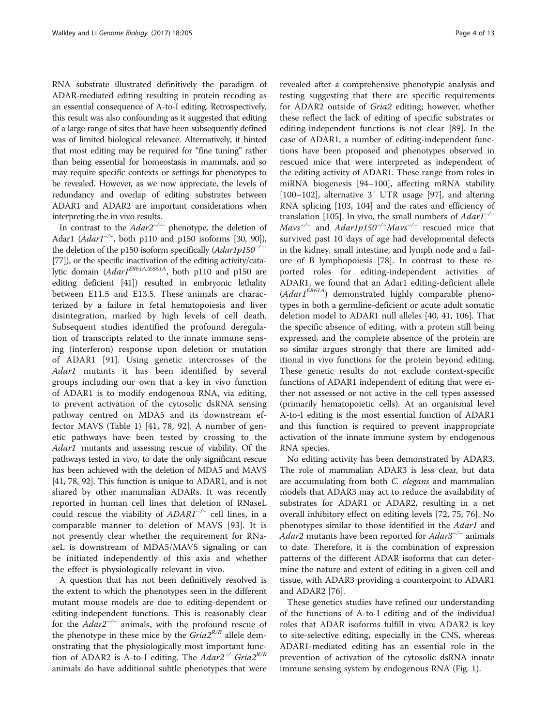RNA substrate illustrated definitively the paradigm of ADAR-mediated editing resulting in protein recoding as an essential consequence of A-to-I editing. Retrospectively, this result was also confounding as it suggested that editing of a large range of sites that have been subsequently defined was of limited biological relevance. Alternatively, it hinted that most editing may be required for "fine tuning" rather than being essential for homeostasis in mammals, and so may require specific contexts or settings for phenotypes to be revealed. However, as we now appreciate, the levels of redundancy and overlap of editing substrates between ADAR1 and ADAR2 are important considerations when interpreting the in vivo results.

In contrast to the  $Adar2^{-/-}$  phenotype, the deletion of Adar1  $(Adar1^{-/-},$  both p110 and p150 isoforms [\[30,](#page-9-0) [90](#page-11-0)]), the deletion of the p150 isoform specifically  $(Adar1p150^{-/-}$ [[77](#page-10-0)]), or the specific inactivation of the editing activity/catalytic domain  $(AdarI<sup>ES61A/ES61A</sup>)$ , both p110 and p150 are editing deficient [\[41\]](#page-10-0)) resulted in embryonic lethality between E11.5 and E13.5. These animals are characterized by a failure in fetal hematopoiesis and liver disintegration, marked by high levels of cell death. Subsequent studies identified the profound deregulation of transcripts related to the innate immune sensing (interferon) response upon deletion or mutation of ADAR1 [[91\]](#page-11-0). Using genetic intercrosses of the Adar1 mutants it has been identified by several groups including our own that a key in vivo function of ADAR1 is to modify endogenous RNA, via editing, to prevent activation of the cytosolic dsRNA sensing pathway centred on MDA5 and its downstream effector MAVS (Table [1\)](#page-4-0) [\[41](#page-10-0), [78](#page-10-0), [92\]](#page-11-0). A number of genetic pathways have been tested by crossing to the Adar1 mutants and assessing rescue of viability. Of the pathways tested in vivo, to date the only significant rescue has been achieved with the deletion of MDA5 and MAVS [[41](#page-10-0), [78,](#page-10-0) [92](#page-11-0)]. This function is unique to ADAR1, and is not shared by other mammalian ADARs. It was recently reported in human cell lines that deletion of RNaseL could rescue the viability of  $ADARI^{-/-}$  cell lines, in a comparable manner to deletion of MAVS [[93](#page-11-0)]. It is not presently clear whether the requirement for RNaseL is downstream of MDA5/MAVS signaling or can be initiated independently of this axis and whether the effect is physiologically relevant in vivo.

A question that has not been definitively resolved is the extent to which the phenotypes seen in the different mutant mouse models are due to editing-dependent or editing-independent functions. This is reasonably clear for the  $Adar2^{-/-}$  animals, with the profound rescue of the phenotype in these mice by the  $Gria2^{R/R}$  allele demonstrating that the physiologically most important function of ADAR2 is A-to-I editing. The  $Adar2^{-/-}Gria2^{R/R}$ animals do have additional subtle phenotypes that were

revealed after a comprehensive phenotypic analysis and testing suggesting that there are specific requirements for ADAR2 outside of Gria2 editing; however, whether these reflect the lack of editing of specific substrates or editing-independent functions is not clear [\[89\]](#page-11-0). In the case of ADAR1, a number of editing-independent functions have been proposed and phenotypes observed in rescued mice that were interpreted as independent of the editing activity of ADAR1. These range from roles in miRNA biogenesis [[94](#page-11-0)–[100\]](#page-11-0), affecting mRNA stability [[100](#page-11-0)–[102](#page-11-0)], alternative 3′ UTR usage [\[97](#page-11-0)], and altering RNA splicing [[103](#page-11-0), [104](#page-11-0)] and the rates and efficiency of translation [[105](#page-11-0)]. In vivo, the small numbers of  $Adar1^{-/-}$  $Mavs^{-/-}$  and  $Adar1p150^{-/-}Mavs^{-/-}$  rescued mice that survived past 10 days of age had developmental defects in the kidney, small intestine, and lymph node and a failure of B lymphopoiesis [\[78](#page-10-0)]. In contrast to these reported roles for editing-independent activities of ADAR1, we found that an Adar1 editing-deficient allele  $(Adar1<sup>ES61A</sup>)$  demonstrated highly comparable phenotypes in both a germline-deficient or acute adult somatic deletion model to ADAR1 null alleles [[40, 41,](#page-10-0) [106\]](#page-11-0). That the specific absence of editing, with a protein still being expressed, and the complete absence of the protein are so similar argues strongly that there are limited additional in vivo functions for the protein beyond editing. These genetic results do not exclude context-specific functions of ADAR1 independent of editing that were either not assessed or not active in the cell types assessed (primarily hematopoietic cells). At an organismal level A-to-I editing is the most essential function of ADAR1 and this function is required to prevent inappropriate activation of the innate immune system by endogenous RNA species.

No editing activity has been demonstrated by ADAR3. The role of mammalian ADAR3 is less clear, but data are accumulating from both C. elegans and mammalian models that ADAR3 may act to reduce the availability of substrates for ADAR1 or ADAR2, resulting in a net overall inhibitory effect on editing levels [\[72](#page-10-0), [75](#page-10-0), [76](#page-10-0)]. No phenotypes similar to those identified in the Adar1 and *Adar2* mutants have been reported for  $Adar3^{-/-}$  animals to date. Therefore, it is the combination of expression patterns of the different ADAR isoforms that can determine the nature and extent of editing in a given cell and tissue, with ADAR3 providing a counterpoint to ADAR1 and ADAR2 [[76\]](#page-10-0).

These genetics studies have refined our understanding of the functions of A-to-I editing and of the individual roles that ADAR isoforms fulfill in vivo: ADAR2 is key to site-selective editing, especially in the CNS, whereas ADAR1-mediated editing has an essential role in the prevention of activation of the cytosolic dsRNA innate immune sensing system by endogenous RNA (Fig. [1\)](#page-5-0).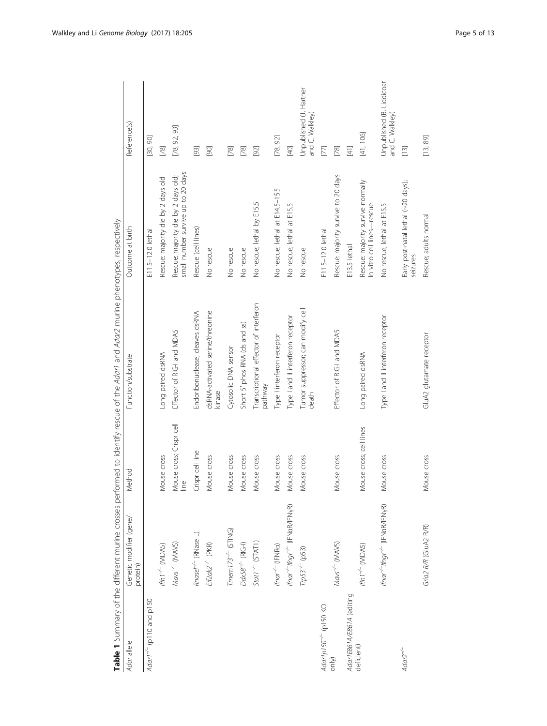<span id="page-4-0"></span>

| Adar allele                                | Genetic modifier (gene/<br>protein)                     | Method                                         | Function/substrate                                | Outcome at birth                                                          | Reference(s)                                 |
|--------------------------------------------|---------------------------------------------------------|------------------------------------------------|---------------------------------------------------|---------------------------------------------------------------------------|----------------------------------------------|
| $Adat^{-/-}$ (p110 and p150                |                                                         |                                                |                                                   | E11.5-12.0 lethal                                                         | [30, 90]                                     |
|                                            | $f\hat{n}h1^{-/-}$ (MDA5)                               | Mouse cross                                    | Long paired dsRNA                                 | Rescue: majority die by 2 days old                                        | $[78]$                                       |
|                                            | $Max^{-/-} (MAXS)$                                      | <i>Aouse</i> cross; Crispr cell<br>$\tilde{e}$ | Effector of RIG-I and MDA5                        | small number survive up to 20 days<br>Rescue: majority die by 2 days old; | [78, 92, 93]                                 |
|                                            | Rnasel <sup>-/-</sup> (RNase L)                         | Crispr cell line                               | Endoribonuclease; cleaves dsRNA                   | Rescue (cell lines)                                                       | [93]                                         |
|                                            | $Eif2ak2^{-/-}$ (PKR)                                   | Mouse cross                                    | dsRNA-activated serine/threonine<br>kinase        | No rescue                                                                 | $[90]$                                       |
|                                            | $Tmem173-/-$ (STING)                                    | <i>Nouse</i> cross                             | Cytosolic DNA sensor                              | No rescue                                                                 | $[78]$                                       |
|                                            | $Ddx58^{-/-}$ (RIG-I)                                   | Nouse cross                                    | Short 5' phos RNA (ds and ss)                     | No rescue                                                                 | $[78]$                                       |
|                                            | $Start^{-/-}$ (STAT1)                                   | <i><b>Nouse</b></i> cross                      | Transcriptional effector of interferon<br>pathway | No rescue; lethal by E15.5                                                | $[92]$                                       |
|                                            | $\text{fhat}^{\prime-}$ (IFNRa)                         | <i><b>Nouse</b></i> cross                      | Type I interferon receptor                        | No rescue; lethal at E14.5-15.5                                           | [78, 92]                                     |
|                                            | lfnar <sup>-/-</sup> lfngr <sup>-/-</sup> (IFNaR/IFNyR) | Nouse cross                                    | Type I and II interferon receptor                 | No rescue; lethal at E15.5                                                | $[40]$                                       |
|                                            | $T \gamma p 53^{1/2}$ (p53)                             | <i>louse</i> cross                             | Tumor suppressor; can modify cell<br>death        | No rescue                                                                 | Unpublished (J. Hartner<br>and C. Walkley)   |
| Adar1p150 <sup>-/-</sup> (p150 KO<br>only) |                                                         |                                                |                                                   | E11.5-12.0 lethal                                                         | $[77]$                                       |
|                                            | $Max^{-/-}$ (MAVS)                                      | Mouse cross                                    | Effector of RIG-I and MDA5                        | Rescue: majority survive to 20 days                                       | $[78]$                                       |
| Adar1E861A/E861A (editing                  |                                                         |                                                |                                                   | E13.5 lethal                                                              | $[41]$                                       |
| deficient)                                 | $ffh1^{-/-}$ (MDA5)                                     | Mouse cross; cell lines                        | Long paired dsRNA                                 | Rescue: majority survive normally<br>In vitro cell lines-rescue           | [41, 106]                                    |
|                                            | lfnar <sup>-/-</sup> lfngr <sup>-/-</sup> (IFNaR/IFNyR) | Mouse cross                                    | Type I and II interferon receptor                 | No rescue; lethal at E15.5                                                | Unpublished (B. Liddicoat<br>and C. Walkley) |
| $4d$ ar $2^{-/-}$                          |                                                         |                                                |                                                   | Early post-natal lethal (~20 days);<br>seizures                           | $[13]$                                       |
|                                            | Gria2 R/R (GluA2 R/R)                                   | Mouse cross                                    | GluA2 glutamate receptor                          | Rescue; adults normal                                                     | [13, 89]                                     |

Table 1 Summary of the different murine crosses performed to identify rescue of the Adar1 and Adar2 murine phenotypes, respectively Table 1 Summary of the different murine crosses performed to identify rescue of the Adar1 and Adar2 murine phenotypes, respectively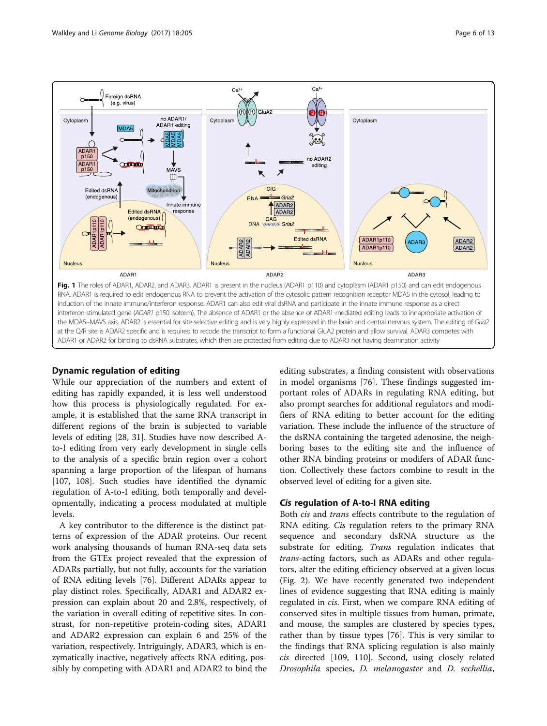<span id="page-5-0"></span>

# Dynamic regulation of editing

While our appreciation of the numbers and extent of editing has rapidly expanded, it is less well understood how this process is physiologically regulated. For example, it is established that the same RNA transcript in different regions of the brain is subjected to variable levels of editing [\[28](#page-9-0), [31\]](#page-9-0). Studies have now described Ato-I editing from very early development in single cells to the analysis of a specific brain region over a cohort spanning a large proportion of the lifespan of humans [[107, 108](#page-11-0)]. Such studies have identified the dynamic regulation of A-to-I editing, both temporally and developmentally, indicating a process modulated at multiple levels.

A key contributor to the difference is the distinct patterns of expression of the ADAR proteins. Our recent work analysing thousands of human RNA-seq data sets from the GTEx project revealed that the expression of ADARs partially, but not fully, accounts for the variation of RNA editing levels [[76](#page-10-0)]. Different ADARs appear to play distinct roles. Specifically, ADAR1 and ADAR2 expression can explain about 20 and 2.8%, respectively, of the variation in overall editing of repetitive sites. In constrast, for non-repetitive protein-coding sites, ADAR1 and ADAR2 expression can explain 6 and 25% of the variation, respectively. Intriguingly, ADAR3, which is enzymatically inactive, negatively affects RNA editing, possibly by competing with ADAR1 and ADAR2 to bind the

editing substrates, a finding consistent with observations in model organisms [[76\]](#page-10-0). These findings suggested important roles of ADARs in regulating RNA editing, but also prompt searches for additional regulators and modifiers of RNA editing to better account for the editing variation. These include the influence of the structure of the dsRNA containing the targeted adenosine, the neighboring bases to the editing site and the influence of other RNA binding proteins or modifers of ADAR function. Collectively these factors combine to result in the observed level of editing for a given site.

# Cis regulation of A-to-I RNA editing

Both cis and trans effects contribute to the regulation of RNA editing. Cis regulation refers to the primary RNA sequence and secondary dsRNA structure as the substrate for editing. Trans regulation indicates that trans-acting factors, such as ADARs and other regulators, alter the editing efficiency observed at a given locus (Fig. [2](#page-6-0)). We have recently generated two independent lines of evidence suggesting that RNA editing is mainly regulated in cis. First, when we compare RNA editing of conserved sites in multiple tissues from human, primate, and mouse, the samples are clustered by species types, rather than by tissue types [\[76\]](#page-10-0). This is very similar to the findings that RNA splicing regulation is also mainly cis directed [\[109, 110\]](#page-11-0). Second, using closely related Drosophila species, D. melanogaster and D. sechellia,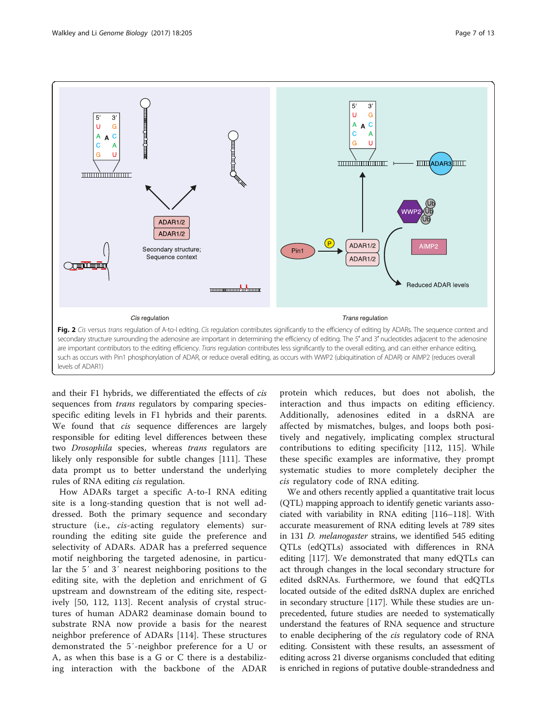<span id="page-6-0"></span>

and their F1 hybrids, we differentiated the effects of cis sequences from *trans* regulators by comparing speciesspecific editing levels in F1 hybrids and their parents. We found that *cis* sequence differences are largely responsible for editing level differences between these two Drosophila species, whereas trans regulators are likely only responsible for subtle changes [\[111](#page-11-0)]. These data prompt us to better understand the underlying rules of RNA editing *cis* regulation.

How ADARs target a specific A-to-I RNA editing site is a long-standing question that is not well addressed. Both the primary sequence and secondary structure (i.e., cis-acting regulatory elements) surrounding the editing site guide the preference and selectivity of ADARs. ADAR has a preferred sequence motif neighboring the targeted adenosine, in particular the 5′ and 3′ nearest neighboring positions to the editing site, with the depletion and enrichment of G upstream and downstream of the editing site, respectively [[50](#page-10-0), [112, 113\]](#page-11-0). Recent analysis of crystal structures of human ADAR2 deaminase domain bound to substrate RNA now provide a basis for the nearest neighbor preference of ADARs [[114\]](#page-11-0). These structures demonstrated the 5′-neighbor preference for a U or A, as when this base is a G or C there is a destabilizing interaction with the backbone of the ADAR protein which reduces, but does not abolish, the interaction and thus impacts on editing efficiency. Additionally, adenosines edited in a dsRNA are affected by mismatches, bulges, and loops both positively and negatively, implicating complex structural contributions to editing specificity [[112, 115](#page-11-0)]. While these specific examples are informative, they prompt systematic studies to more completely decipher the cis regulatory code of RNA editing.

We and others recently applied a quantitative trait locus (QTL) mapping approach to identify genetic variants associated with variability in RNA editing [\[116](#page-11-0)–[118\]](#page-11-0). With accurate measurement of RNA editing levels at 789 sites in 131 D. melanogaster strains, we identified 545 editing QTLs (edQTLs) associated with differences in RNA editing [\[117\]](#page-11-0). We demonstrated that many edQTLs can act through changes in the local secondary structure for edited dsRNAs. Furthermore, we found that edQTLs located outside of the edited dsRNA duplex are enriched in secondary structure [\[117\]](#page-11-0). While these studies are unprecedented, future studies are needed to systematically understand the features of RNA sequence and structure to enable deciphering of the cis regulatory code of RNA editing. Consistent with these results, an assessment of editing across 21 diverse organisms concluded that editing is enriched in regions of putative double-strandedness and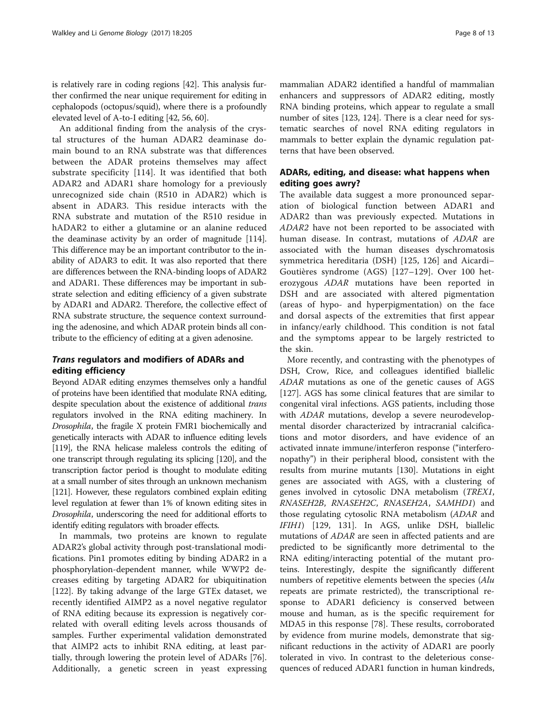is relatively rare in coding regions [\[42\]](#page-10-0). This analysis further confirmed the near unique requirement for editing in cephalopods (octopus/squid), where there is a profoundly elevated level of A-to-I editing [[42](#page-10-0), [56, 60](#page-10-0)].

An additional finding from the analysis of the crystal structures of the human ADAR2 deaminase domain bound to an RNA substrate was that differences between the ADAR proteins themselves may affect substrate specificity [[114\]](#page-11-0). It was identified that both ADAR2 and ADAR1 share homology for a previously unrecognized side chain (R510 in ADAR2) which is absent in ADAR3. This residue interacts with the RNA substrate and mutation of the R510 residue in hADAR2 to either a glutamine or an alanine reduced the deaminase activity by an order of magnitude [[114](#page-11-0)]. This difference may be an important contributor to the inability of ADAR3 to edit. It was also reported that there are differences between the RNA-binding loops of ADAR2 and ADAR1. These differences may be important in substrate selection and editing efficiency of a given substrate by ADAR1 and ADAR2. Therefore, the collective effect of RNA substrate structure, the sequence context surrounding the adenosine, and which ADAR protein binds all contribute to the efficiency of editing at a given adenosine.

# Trans regulators and modifiers of ADARs and editing efficiency

Beyond ADAR editing enzymes themselves only a handful of proteins have been identified that modulate RNA editing, despite speculation about the existence of additional trans regulators involved in the RNA editing machinery. In Drosophila, the fragile X protein FMR1 biochemically and genetically interacts with ADAR to influence editing levels [[119\]](#page-11-0), the RNA helicase maleless controls the editing of one transcript through regulating its splicing [[120\]](#page-11-0), and the transcription factor period is thought to modulate editing at a small number of sites through an unknown mechanism [[121\]](#page-11-0). However, these regulators combined explain editing level regulation at fewer than 1% of known editing sites in Drosophila, underscoring the need for additional efforts to identify editing regulators with broader effects.

In mammals, two proteins are known to regulate ADAR2's global activity through post-translational modifications. Pin1 promotes editing by binding ADAR2 in a phosphorylation-dependent manner, while WWP2 decreases editing by targeting ADAR2 for ubiquitination [[122\]](#page-11-0). By taking advange of the large GTEx dataset, we recently identified AIMP2 as a novel negative regulator of RNA editing because its expression is negatively correlated with overall editing levels across thousands of samples. Further experimental validation demonstrated that AIMP2 acts to inhibit RNA editing, at least partially, through lowering the protein level of ADARs [\[76](#page-10-0)]. Additionally, a genetic screen in yeast expressing

mammalian ADAR2 identified a handful of mammalian enhancers and suppressors of ADAR2 editing, mostly RNA binding proteins, which appear to regulate a small number of sites [\[123, 124\]](#page-11-0). There is a clear need for systematic searches of novel RNA editing regulators in mammals to better explain the dynamic regulation patterns that have been observed.

# ADARs, editing, and disease: what happens when editing goes awry?

The available data suggest a more pronounced separation of biological function between ADAR1 and ADAR2 than was previously expected. Mutations in ADAR2 have not been reported to be associated with human disease. In contrast, mutations of ADAR are associated with the human diseases dyschromatosis symmetrica hereditaria (DSH) [\[125](#page-11-0), [126\]](#page-11-0) and Aicardi– Goutières syndrome (AGS) [\[127](#page-11-0)–[129](#page-11-0)]. Over 100 heterozygous ADAR mutations have been reported in DSH and are associated with altered pigmentation (areas of hypo- and hyperpigmentation) on the face and dorsal aspects of the extremities that first appear in infancy/early childhood. This condition is not fatal and the symptoms appear to be largely restricted to the skin.

More recently, and contrasting with the phenotypes of DSH, Crow, Rice, and colleagues identified biallelic ADAR mutations as one of the genetic causes of AGS [[127\]](#page-11-0). AGS has some clinical features that are similar to congenital viral infections. AGS patients, including those with ADAR mutations, develop a severe neurodevelopmental disorder characterized by intracranial calcifications and motor disorders, and have evidence of an activated innate immune/interferon response ("interferonopathy") in their peripheral blood, consistent with the results from murine mutants [\[130\]](#page-11-0). Mutations in eight genes are associated with AGS, with a clustering of genes involved in cytosolic DNA metabolism (TREX1, RNASEH2B, RNASEH2C, RNASEH2A, SAMHD1) and those regulating cytosolic RNA metabolism (ADAR and IFIH1) [\[129, 131](#page-11-0)]. In AGS, unlike DSH, biallelic mutations of ADAR are seen in affected patients and are predicted to be significantly more detrimental to the RNA editing/interacting potential of the mutant proteins. Interestingly, despite the significantly different numbers of repetitive elements between the species (Alu repeats are primate restricted), the transcriptional response to ADAR1 deficiency is conserved between mouse and human, as is the specific requirement for MDA5 in this response [\[78](#page-10-0)]. These results, corroborated by evidence from murine models, demonstrate that significant reductions in the activity of ADAR1 are poorly tolerated in vivo. In contrast to the deleterious consequences of reduced ADAR1 function in human kindreds,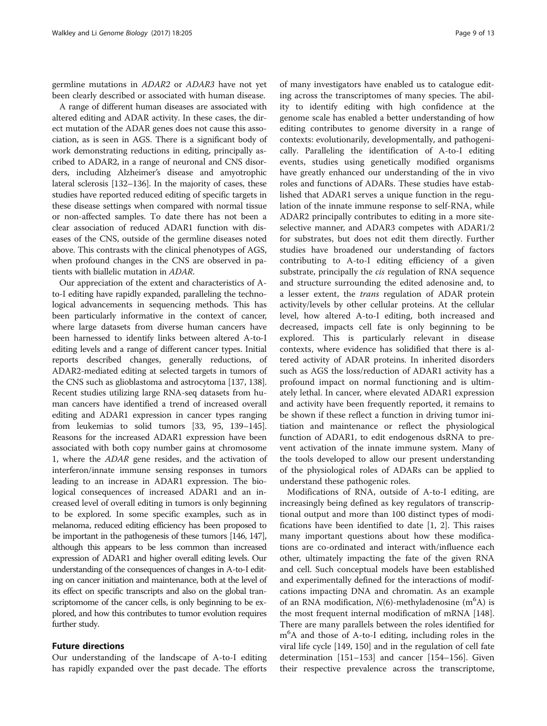germline mutations in ADAR2 or ADAR3 have not yet been clearly described or associated with human disease.

A range of different human diseases are associated with altered editing and ADAR activity. In these cases, the direct mutation of the ADAR genes does not cause this association, as is seen in AGS. There is a significant body of work demonstrating reductions in editing, principally ascribed to ADAR2, in a range of neuronal and CNS disorders, including Alzheimer's disease and amyotrophic lateral sclerosis [\[132](#page-11-0)–[136](#page-11-0)]. In the majority of cases, these studies have reported reduced editing of specific targets in these disease settings when compared with normal tissue or non-affected samples. To date there has not been a clear association of reduced ADAR1 function with diseases of the CNS, outside of the germline diseases noted above. This contrasts with the clinical phenotypes of AGS, when profound changes in the CNS are observed in patients with biallelic mutation in ADAR.

Our appreciation of the extent and characteristics of Ato-I editing have rapidly expanded, paralleling the technological advancements in sequencing methods. This has been particularly informative in the context of cancer, where large datasets from diverse human cancers have been harnessed to identify links between altered A-to-I editing levels and a range of different cancer types. Initial reports described changes, generally reductions, of ADAR2-mediated editing at selected targets in tumors of the CNS such as glioblastoma and astrocytoma [[137](#page-12-0), [138](#page-12-0)]. Recent studies utilizing large RNA-seq datasets from human cancers have identified a trend of increased overall editing and ADAR1 expression in cancer types ranging from leukemias to solid tumors [\[33,](#page-9-0) [95,](#page-11-0) [139](#page-12-0)–[145](#page-12-0)]. Reasons for the increased ADAR1 expression have been associated with both copy number gains at chromosome 1, where the ADAR gene resides, and the activation of interferon/innate immune sensing responses in tumors leading to an increase in ADAR1 expression. The biological consequences of increased ADAR1 and an increased level of overall editing in tumors is only beginning to be explored. In some specific examples, such as in melanoma, reduced editing efficiency has been proposed to be important in the pathogenesis of these tumors [\[146, 147\]](#page-12-0), although this appears to be less common than increased expression of ADAR1 and higher overall editing levels. Our understanding of the consequences of changes in A-to-I editing on cancer initiation and maintenance, both at the level of its effect on specific transcripts and also on the global transcriptomome of the cancer cells, is only beginning to be explored, and how this contributes to tumor evolution requires further study.

# Future directions

Our understanding of the landscape of A-to-I editing has rapidly expanded over the past decade. The efforts of many investigators have enabled us to catalogue editing across the transcriptomes of many species. The ability to identify editing with high confidence at the genome scale has enabled a better understanding of how editing contributes to genome diversity in a range of contexts: evolutionarily, developmentally, and pathogenically. Paralleling the identification of A-to-I editing events, studies using genetically modified organisms have greatly enhanced our understanding of the in vivo roles and functions of ADARs. These studies have established that ADAR1 serves a unique function in the regulation of the innate immune response to self-RNA, while ADAR2 principally contributes to editing in a more siteselective manner, and ADAR3 competes with ADAR1/2 for substrates, but does not edit them directly. Further studies have broadened our understanding of factors contributing to A-to-I editing efficiency of a given substrate, principally the cis regulation of RNA sequence and structure surrounding the edited adenosine and, to a lesser extent, the trans regulation of ADAR protein activity/levels by other cellular proteins. At the cellular level, how altered A-to-I editing, both increased and decreased, impacts cell fate is only beginning to be explored. This is particularly relevant in disease contexts, where evidence has solidified that there is altered activity of ADAR proteins. In inherited disorders such as AGS the loss/reduction of ADAR1 activity has a profound impact on normal functioning and is ultimately lethal. In cancer, where elevated ADAR1 expression and activity have been frequently reported, it remains to be shown if these reflect a function in driving tumor initiation and maintenance or reflect the physiological function of ADAR1, to edit endogenous dsRNA to prevent activation of the innate immune system. Many of the tools developed to allow our present understanding of the physiological roles of ADARs can be applied to understand these pathogenic roles.

Modifications of RNA, outside of A-to-I editing, are increasingly being defined as key regulators of transcriptional output and more than 100 distinct types of modifications have been identified to date [\[1](#page-9-0), [2](#page-9-0)]. This raises many important questions about how these modifications are co-ordinated and interact with/influence each other, ultimately impacting the fate of the given RNA and cell. Such conceptual models have been established and experimentally defined for the interactions of modifcations impacting DNA and chromatin. As an example of an RNA modification,  $N(6)$ -methyladenosine (m<sup>6</sup>A) is the most frequent internal modification of mRNA [[148](#page-12-0)]. There are many parallels between the roles identified for m6 A and those of A-to-I editing, including roles in the viral life cycle [[149, 150](#page-12-0)] and in the regulation of cell fate determination [\[151](#page-12-0)–[153\]](#page-12-0) and cancer [[154](#page-12-0)–[156](#page-12-0)]. Given their respective prevalence across the transcriptome,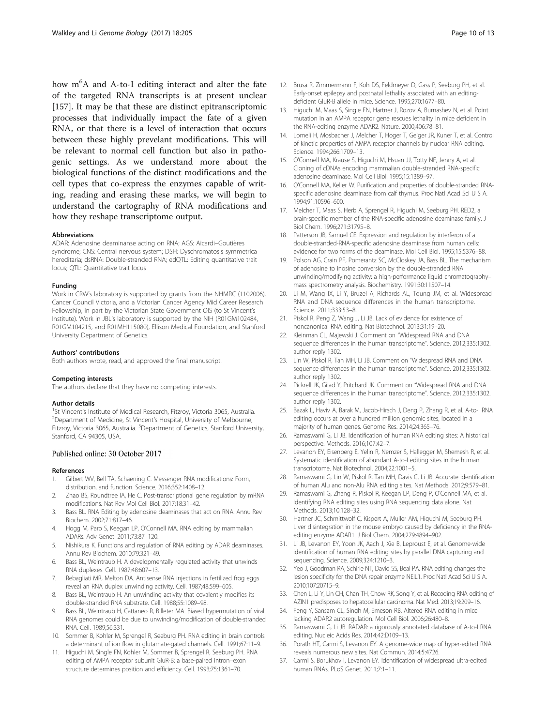<span id="page-9-0"></span>how m<sup>6</sup>A and A-to-I editing interact and alter the fate of the targeted RNA transcripts is at present unclear [[157\]](#page-12-0). It may be that these are distinct epitranscriptomic processes that individually impact the fate of a given RNA, or that there is a level of interaction that occurs between these highly prevelant modifications. This will be relevant to normal cell function but also in pathogenic settings. As we understand more about the biological functions of the distinct modifications and the cell types that co-express the enzymes capable of writing, reading and erasing these marks, we will begin to understand the cartography of RNA modifications and how they reshape transcriptome output.

#### Abbreviations

ADAR: Adenosine deaminanse acting on RNA; AGS: Aicardi–Goutières syndrome; CNS: Central nervous system; DSH: Dyschromatosis symmetrica hereditaria; dsRNA: Double-stranded RNA; edQTL: Editing quantitative trait locus; QTL: Quantitative trait locus

#### Funding

Work in CRW's laboratory is supported by grants from the NHMRC (1102006), Cancer Council Victoria, and a Victorian Cancer Agency Mid Career Research Fellowship, in part by the Victorian State Government OIS (to St Vincent's Institute). Work in JBL's laboratory is supported by the NIH (R01GM102484, R01GM104215, and R01MH115080), Ellison Medical Foundation, and Stanford University Department of Genetics.

#### Authors' contributions

Both authors wrote, read, and approved the final manuscript.

#### Competing interests

The authors declare that they have no competing interests.

#### Author details

<sup>1</sup>St Vincent's Institute of Medical Research, Fitzroy, Victoria 3065, Australia.<br><sup>2</sup>Department of Medicine, St Vincent's Hespital, University of Melbourne. <sup>2</sup>Department of Medicine, St Vincent's Hospital, University of Melbourne, Fitzroy, Victoria 3065, Australia. <sup>3</sup>Department of Genetics, Stanford University, Stanford, CA 94305, USA.

#### Published online: 30 October 2017

#### References

- Gilbert WV, Bell TA, Schaening C. Messenger RNA modifications: Form, distribution, and function. Science. 2016;352:1408–12.
- 2. Zhao BS, Roundtree IA, He C. Post-transcriptional gene regulation by mRNA modifications. Nat Rev Mol Cell Biol. 2017;18:31–42.
- 3. Bass BL. RNA Editing by adenosine deaminases that act on RNA. Annu Rev Biochem. 2002;71:817–46.
- 4. Hogg M, Paro S, Keegan LP, O'Connell MA. RNA editing by mammalian ADARs. Adv Genet. 2011;73:87–120.
- 5. Nishikura K. Functions and regulation of RNA editing by ADAR deaminases. Annu Rev Biochem. 2010;79:321–49.
- 6. Bass BL, Weintraub H. A developmentally regulated activity that unwinds RNA duplexes. Cell. 1987;48:607–13.
- 7. Rebagliati MR, Melton DA. Antisense RNA injections in fertilized frog eggs reveal an RNA duplex unwinding activity. Cell. 1987;48:599–605.
- Bass BL, Weintraub H. An unwinding activity that covalently modifies its double-stranded RNA substrate. Cell. 1988;55:1089–98.
- 9. Bass BL, Weintraub H, Cattaneo R, Billeter MA. Biased hypermutation of viral RNA genomes could be due to unwinding/modification of double-stranded RNA. Cell. 1989;56:331.
- 10. Sommer B, Kohler M, Sprengel R, Seeburg PH. RNA editing in brain controls a determinant of ion flow in glutamate-gated channels. Cell. 1991;67:11–9.
- 11. Higuchi M, Single FN, Kohler M, Sommer B, Sprengel R, Seeburg PH. RNA editing of AMPA receptor subunit GluR-B: a base-paired intron–exon structure determines position and efficiency. Cell. 1993;75:1361–70.
- 12. Brusa R, Zimmermann F, Koh DS, Feldmeyer D, Gass P, Seeburg PH, et al. Early-onset epilepsy and postnatal lethality associated with an editingdeficient GluR-B allele in mice. Science. 1995;270:1677–80.
- 13. Higuchi M, Maas S, Single FN, Hartner J, Rozov A, Burnashev N, et al. Point mutation in an AMPA receptor gene rescues lethality in mice deficient in the RNA-editing enzyme ADAR2. Nature. 2000;406:78–81.
- 14. Lomeli H, Mosbacher J, Melcher T, Hoger T, Geiger JR, Kuner T, et al. Control of kinetic properties of AMPA receptor channels by nuclear RNA editing. Science. 1994;266:1709–13.
- 15. O'Connell MA, Krause S, Higuchi M, Hsuan JJ, Totty NF, Jenny A, et al. Cloning of cDNAs encoding mammalian double-stranded RNA-specific adenosine deaminase. Mol Cell Biol. 1995;15:1389–97.
- 16. O'Connell MA, Keller W. Purification and properties of double-stranded RNAspecific adenosine deaminase from calf thymus. Proc Natl Acad Sci U S A. 1994;91:10596–600.
- 17. Melcher T, Maas S, Herb A, Sprengel R, Higuchi M, Seeburg PH. RED2, a brain-specific member of the RNA-specific adenosine deaminase family. J Biol Chem. 1996;271:31795–8.
- 18. Patterson JB, Samuel CE. Expression and regulation by interferon of a double-stranded-RNA-specific adenosine deaminase from human cells: evidence for two forms of the deaminase. Mol Cell Biol. 1995;15:5376–88.
- 19. Polson AG, Crain PF, Pomerantz SC, McCloskey JA, Bass BL. The mechanism of adenosine to inosine conversion by the double-stranded RNA unwinding/modifying activity: a high-performance liquid chromatography– mass spectrometry analysis. Biochemistry. 1991;30:11507–14.
- 20. Li M, Wang IX, Li Y, Bruzel A, Richards AL, Toung JM, et al. Widespread RNA and DNA sequence differences in the human transcriptome. Science. 2011;333:53–8.
- 21. Piskol R, Peng Z, Wang J, Li JB. Lack of evidence for existence of noncanonical RNA editing. Nat Biotechnol. 2013;31:19–20.
- 22. Kleinman CL, Majewski J. Comment on "Widespread RNA and DNA sequence differences in the human transcriptome". Science. 2012;335:1302. author reply 1302.
- 23. Lin W, Piskol R, Tan MH, Li JB. Comment on "Widespread RNA and DNA sequence differences in the human transcriptome". Science. 2012;335:1302. author reply 1302.
- 24. Pickrell JK, Gilad Y, Pritchard JK. Comment on "Widespread RNA and DNA sequence differences in the human transcriptome". Science. 2012;335:1302. author reply 1302.
- 25. Bazak L, Haviv A, Barak M, Jacob-Hirsch J, Deng P, Zhang R, et al. A-to-I RNA editing occurs at over a hundred million genomic sites, located in a majority of human genes. Genome Res. 2014;24:365–76.
- 26. Ramaswami G, Li JB. Identification of human RNA editing sites: A historical perspective. Methods. 2016;107:42–7.
- 27. Levanon EY, Eisenberg E, Yelin R, Nemzer S, Hallegger M, Shemesh R, et al. Systematic identification of abundant A-to-I editing sites in the human transcriptome. Nat Biotechnol. 2004;22:1001–5.
- 28. Ramaswami G, Lin W, Piskol R, Tan MH, Davis C, Li JB. Accurate identification of human Alu and non-Alu RNA editing sites. Nat Methods. 2012;9:579–81.
- 29. Ramaswami G, Zhang R, Piskol R, Keegan LP, Deng P, O'Connell MA, et al. Identifying RNA editing sites using RNA sequencing data alone. Nat Methods. 2013;10:128–32.
- 30. Hartner JC, Schmittwolf C, Kispert A, Muller AM, Higuchi M, Seeburg PH. Liver disintegration in the mouse embryo caused by deficiency in the RNAediting enzyme ADAR1. J Biol Chem. 2004;279:4894–902.
- 31. Li JB, Levanon EY, Yoon JK, Aach J, Xie B, Leproust E, et al. Genome-wide identification of human RNA editing sites by parallel DNA capturing and sequencing. Science. 2009;324:1210–3.
- 32. Yeo J, Goodman RA, Schirle NT, David SS, Beal PA. RNA editing changes the lesion specificity for the DNA repair enzyme NEIL1. Proc Natl Acad Sci U S A. 2010;107:20715–9.
- 33. Chen L, Li Y, Lin CH, Chan TH, Chow RK, Song Y, et al. Recoding RNA editing of AZIN1 predisposes to hepatocellular carcinoma. Nat Med. 2013;19:209–16.
- 34. Feng Y, Sansam CL, Singh M, Emeson RB. Altered RNA editing in mice lacking ADAR2 autoregulation. Mol Cell Biol. 2006;26:480–8.
- 35. Ramaswami G, Li JB. RADAR: a rigorously annotated database of A-to-I RNA editing. Nucleic Acids Res. 2014;42:D109–13.
- 36. Porath HT, Carmi S, Levanon EY. A genome-wide map of hyper-edited RNA reveals numerous new sites. Nat Commun. 2014;5:4726.
- 37. Carmi S, Borukhov I, Levanon EY. Identification of widespread ultra-edited human RNAs. PLoS Genet. 2011;7:1–11.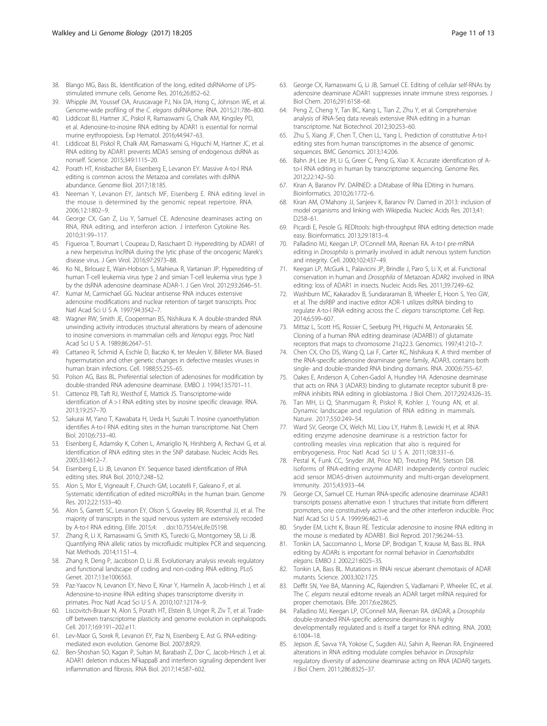- <span id="page-10-0"></span>38. Blango MG, Bass BL. Identification of the long, edited dsRNAome of LPSstimulated immune cells. Genome Res. 2016;26:852–62.
- 39. Whipple JM, Youssef OA, Aruscavage PJ, Nix DA, Hong C, Johnson WE, et al. Genome-wide profiling of the C. elegans dsRNAome. RNA. 2015;21:786–800.
- 40. Liddicoat BJ, Hartner JC, Piskol R, Ramaswami G, Chalk AM, Kingsley PD, et al. Adenosine-to-inosine RNA editing by ADAR1 is essential for normal murine erythropoiesis. Exp Hematol. 2016;44:947–63.
- 41. Liddicoat BJ, Piskol R, Chalk AM, Ramaswami G, Higuchi M, Hartner JC, et al. RNA editing by ADAR1 prevents MDA5 sensing of endogenous dsRNA as nonself. Science. 2015;349:1115–20.
- 42. Porath HT, Knisbacher BA, Eisenberg E, Levanon EY. Massive A-to-I RNA editing is common across the Metazoa and correlates with dsRNA abundance. Genome Biol. 2017;18:185.
- 43. Neeman Y, Levanon EY, Jantsch MF, Eisenberg E. RNA editing level in the mouse is determined by the genomic repeat repertoire. RNA. 2006;12:1802–9.
- 44. George CX, Gan Z, Liu Y, Samuel CE. Adenosine deaminases acting on RNA, RNA editing, and interferon action. J Interferon Cytokine Res. 2010;31:99–117.
- 45. Figueroa T, Boumart I, Coupeau D, Rasschaert D. Hyperediting by ADAR1 of a new herpesvirus lncRNA during the lytic phase of the oncogenic Marek's disease virus. J Gen Virol. 2016;97:2973–88.
- 46. Ko NL, Birlouez E, Wain-Hobson S, Mahieux R, Vartanian JP. Hyperediting of human T-cell leukemia virus type 2 and simian T-cell leukemia virus type 3 by the dsRNA adenosine deaminase ADAR-1. J Gen Virol. 2012;93:2646–51.
- 47. Kumar M, Carmichael GG. Nuclear antisense RNA induces extensive adenosine modifications and nuclear retention of target transcripts. Proc Natl Acad Sci U S A. 1997;94:3542–7.
- 48. Wagner RW, Smith JE, Cooperman BS, Nishikura K. A double-stranded RNA unwinding activity introduces structural alterations by means of adenosine to inosine conversions in mammalian cells and Xenopus eggs. Proc Natl Acad Sci U S A. 1989;86:2647–51.
- 49. Cattaneo R, Schmid A, Eschle D, Baczko K, ter Meulen V, Billeter MA. Biased hypermutation and other genetic changes in defective measles viruses in human brain infections. Cell. 1988;55:255–65.
- 50. Polson AG, Bass BL. Preferential selection of adenosines for modification by double-stranded RNA adenosine deaminase. EMBO J. 1994;13:5701–11.
- 51. Cattenoz PB, Taft RJ, Westhof E, Mattick JS. Transcriptome-wide identification of A > I RNA editing sites by inosine specific cleavage. RNA. 2013;19:257–70.
- 52. Sakurai M, Yano T, Kawabata H, Ueda H, Suzuki T. Inosine cyanoethylation identifies A-to-I RNA editing sites in the human transcriptome. Nat Chem Biol. 2010;6:733–40.
- 53. Eisenberg E, Adamsky K, Cohen L, Amariglio N, Hirshberg A, Rechavi G, et al. Identification of RNA editing sites in the SNP database. Nucleic Acids Res. 2005;33:4612–7.
- 54. Eisenberg E, Li JB, Levanon EY. Sequence based identification of RNA editing sites. RNA Biol. 2010;7:248–52.
- 55. Alon S, Mor E, Vigneault F, Church GM, Locatelli F, Galeano F, et al. Systematic identification of edited microRNAs in the human brain. Genome Res. 2012;22:1533–40.
- 56. Alon S, Garrett SC, Levanon EY, Olson S, Graveley BR, Rosenthal JJ, et al. The majority of transcripts in the squid nervous system are extensively recoded by A-to-I RNA editing. Elife. 2015;4: . doi[:10.7554/eLife.05198](http://dx.doi.org/10.7554/eLife.05198).
- 57. Zhang R, Li X, Ramaswami G, Smith KS, Turecki G, Montgomery SB, Li JB. Quantifying RNA allelic ratios by microfluidic multiplex PCR and sequencing. Nat Methods. 2014;11:51–4.
- 58. Zhang R, Deng P, Jacobson D, Li JB. Evolutionary analysis reveals regulatory and functional landscape of coding and non-coding RNA editing. PLoS Genet. 2017;13:e1006563.
- 59. Paz-Yaacov N, Levanon EY, Nevo E, Kinar Y, Harmelin A, Jacob-Hirsch J, et al. Adenosine-to-inosine RNA editing shapes transcriptome diversity in primates. Proc Natl Acad Sci U S A. 2010;107:12174–9.
- 60. Liscovitch-Brauer N, Alon S, Porath HT, Elstein B, Unger R, Ziv T, et al. Tradeoff between transcriptome plasticity and genome evolution in cephalopods. Cell. 2017;169:191–202.e11.
- 61. Lev-Maor G, Sorek R, Levanon EY, Paz N, Eisenberg E, Ast G. RNA-editingmediated exon evolution. Genome Biol. 2007;8:R29.
- 62. Ben-Shoshan SO, Kagan P, Sultan M, Barabash Z, Dor C, Jacob-Hirsch J, et al. ADAR1 deletion induces NFkappaB and interferon signaling dependent liver inflammation and fibrosis. RNA Biol. 2017;14:587–602.
- 63. George CX, Ramaswami G, Li JB, Samuel CE. Editing of cellular self-RNAs by adenosine deaminase ADAR1 suppresses innate immune stress responses. J Biol Chem. 2016;291:6158–68.
- 64. Peng Z, Cheng Y, Tan BC, Kang L, Tian Z, Zhu Y, et al. Comprehensive analysis of RNA-Seq data reveals extensive RNA editing in a human transcriptome. Nat Biotechnol. 2012;30:253–60.
- Zhu S, Xiang JF, Chen T, Chen LL, Yang L. Prediction of constitutive A-to-I editing sites from human transcriptomes in the absence of genomic sequences. BMC Genomics. 2013;14:206.
- 66. Bahn JH, Lee JH, Li G, Greer C, Peng G, Xiao X. Accurate identification of Ato-I RNA editing in human by transcriptome sequencing. Genome Res. 2012;22:142–50.
- 67. Kiran A, Baranov PV. DARNED: a DAtabase of RNa EDiting in humans. Bioinformatics. 2010;26:1772–6.
- 68. Kiran AM, O'Mahony JJ, Sanjeev K, Baranov PV. Darned in 2013: inclusion of model organisms and linking with Wikipedia. Nucleic Acids Res. 2013;41: D258–61.
- 69. Picardi E, Pesole G. REDItools: high-throughput RNA editing detection made easy. Bioinformatics. 2013;29:1813–4.
- 70. Palladino MJ, Keegan LP, O'Connell MA, Reenan RA. A-to-I pre-mRNA editing in Drosophila is primarily involved in adult nervous system function and integrity. Cell. 2000;102:437–49.
- 71. Keegan LP, McGurk L, Palavicini JP, Brindle J, Paro S, Li X, et al. Functional conservation in human and Drosophila of Metazoan ADAR2 involved in RNA editing: loss of ADAR1 in insects. Nucleic Acids Res. 2011;39:7249–62.
- 72. Washburn MC, Kakaradov B, Sundararaman B, Wheeler E, Hoon S, Yeo GW, et al. The dsRBP and inactive editor ADR-1 utilizes dsRNA binding to regulate A-to-I RNA editing across the C. elegans transcriptome. Cell Rep. 2014;6:599–607.
- 73. Mittaz L, Scott HS, Rossier C, Seeburg PH, Higuchi M, Antonarakis SE. Cloning of a human RNA editing deaminase (ADARB1) of glutamate receptors that maps to chromosome 21q22.3. Genomics. 1997;41:210–7.
- 74. Chen CX, Cho DS, Wang Q, Lai F, Carter KC, Nishikura K. A third member of the RNA-specific adenosine deaminase gene family, ADAR3, contains both single- and double-stranded RNA binding domains. RNA. 2000;6:755–67.
- 75. Oakes E, Anderson A, Cohen-Gadol A, Hundley HA. Adenosine deaminase that acts on RNA 3 (ADAR3) binding to glutamate receptor subunit B premRNA inhibits RNA editing in glioblastoma. J Biol Chem. 2017;292:4326–35.
- 76. Tan MH, Li Q, Shanmugam R, Piskol R, Kohler J, Young AN, et al. Dynamic landscape and regulation of RNA editing in mammals. Nature. 2017;550:249–54.
- 77. Ward SV, George CX, Welch MJ, Liou LY, Hahm B, Lewicki H, et al. RNA editing enzyme adenosine deaminase is a restriction factor for controlling measles virus replication that also is required for embryogenesis. Proc Natl Acad Sci U S A. 2011;108:331–6.
- 78. Pestal K, Funk CC, Snyder JM, Price ND, Treuting PM, Stetson DB. Isoforms of RNA-editing enzyme ADAR1 independently control nucleic acid sensor MDA5-driven autoimmunity and multi-organ development. Immunity. 2015;43:933–44.
- 79. George CX, Samuel CE. Human RNA-specific adenosine deaminase ADAR1 transcripts possess alternative exon 1 structures that initiate from different promoters, one constitutively active and the other interferon inducible. Proc Natl Acad Sci U S A. 1999;96:4621–6.
- 80. Snyder EM, Licht K, Braun RE. Testicular adenosine to inosine RNA editing in the mouse is mediated by ADARB1. Biol Reprod. 2017;96:244–53.
- 81. Tonkin LA, Saccomanno L, Morse DP, Brodigan T, Krause M, Bass BL. RNA editing by ADARs is important for normal behavior in Caenorhabditis elegans. EMBO J. 2002;21:6025–35.
- 82. Tonkin LA, Bass BL. Mutations in RNAi rescue aberrant chemotaxis of ADAR mutants. Science. 2003;302:1725.
- 83. Deffit SN, Yee BA, Manning AC, Rajendren S, Vadlamani P, Wheeler EC, et al. The C. elegans neural editome reveals an ADAR target mRNA required for proper chemotaxis. Elife. 2017;6:e28625.
- 84. Palladino MJ, Keegan LP, O'Connell MA, Reenan RA. dADAR, a Drosophila double-stranded RNA-specific adenosine deaminase is highly developmentally regulated and is itself a target for RNA editing. RNA. 2000; 6:1004–18.
- 85. Jepson JE, Savva YA, Yokose C, Sugden AU, Sahin A, Reenan RA. Engineered alterations in RNA editing modulate complex behavior in Drosophila: regulatory diversity of adenosine deaminase acting on RNA (ADAR) targets. J Biol Chem. 2011;286:8325–37.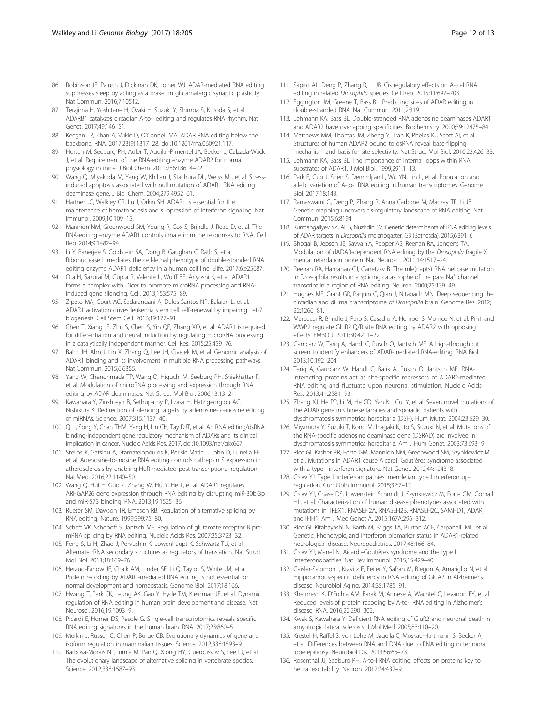- <span id="page-11-0"></span>86. Robinson JE, Paluch J, Dickman DK, Joiner WJ. ADAR-mediated RNA editing suppresses sleep by acting as a brake on glutamatergic synaptic plasticity. Nat Commun. 2016;7:10512.
- 87. Terajima H, Yoshitane H, Ozaki H, Suzuki Y, Shimba S, Kuroda S, et al. ADARB1 catalyzes circadian A-to-I editing and regulates RNA rhythm. Nat Genet. 2017;49:146–51.
- 88. Keegan LP, Khan A, Vukic D, O'Connell MA. ADAR RNA editing below the backbone. RNA. 2017;23(9):1317–28. doi[:10.1261/rna.060921.117](http://dx.doi.org/10.1261/rna.060921.117).
- 89. Horsch M, Seeburg PH, Adler T, Aguilar-Pimentel JA, Becker L, Calzada-Wack J, et al. Requirement of the RNA-editing enzyme ADAR2 for normal physiology in mice. J Biol Chem. 2011;286:18614–22.
- 90. Wang Q, Miyakoda M, Yang W, Khillan J, Stachura DL, Weiss MJ, et al. Stressinduced apoptosis associated with null mutation of ADAR1 RNA editing deaminase gene. J Biol Chem. 2004;279:4952–61.
- 91. Hartner JC, Walkley CR, Lu J, Orkin SH. ADAR1 is essential for the maintenance of hematopoiesis and suppression of interferon signaling. Nat Immunol. 2009;10:109–15.
- 92. Mannion NM, Greenwood SM, Young R, Cox S, Brindle J, Read D, et al. The RNA-editing enzyme ADAR1 controls innate immune responses to RNA. Cell Rep. 2014;9:1482–94.
- 93. Li Y, Banerjee S, Goldstein SA, Dong B, Gaughan C, Rath S, et al. Ribonuclease L mediates the cell-lethal phenotype of double-stranded RNA editing enzyme ADAR1 deficiency in a human cell line. Elife. 2017;6:e25687.
- 94. Ota H, Sakurai M, Gupta R, Valente L, Wulff BE, Ariyoshi K, et al. ADAR1 forms a complex with Dicer to promote microRNA processing and RNAinduced gene silencing. Cell. 2013;153:575–89.
- 95. Zipeto MA, Court AC, Sadarangani A, Delos Santos NP, Balaian L, et al. ADAR1 activation drives leukemia stem cell self-renewal by impairing Let-7 biogenesis. Cell Stem Cell. 2016;19:177–91.
- 96. Chen T, Xiang JF, Zhu S, Chen S, Yin QF, Zhang XO, et al. ADAR1 is required for differentiation and neural induction by regulating microRNA processing in a catalytically independent manner. Cell Res. 2015;25:459–76.
- 97. Bahn JH, Ahn J, Lin X, Zhang Q, Lee JH, Civelek M, et al. Genomic analysis of ADAR1 binding and its involvement in multiple RNA processing pathways. Nat Commun. 2015;6:6355.
- 98. Yang W, Chendrimada TP, Wang Q, Higuchi M, Seeburg PH, Shiekhattar R, et al. Modulation of microRNA processing and expression through RNA editing by ADAR deaminases. Nat Struct Mol Biol. 2006;13:13–21.
- 99. Kawahara Y, Zinshteyn B, Sethupathy P, Iizasa H, Hatzigeorgiou AG, Nishikura K. Redirection of silencing targets by adenosine-to-inosine editing of miRNAs. Science. 2007;315:1137–40.
- 100. Qi L, Song Y, Chan THM, Yang H, Lin CH, Tay DJT, et al. An RNA editing/dsRNA binding-independent gene regulatory mechanism of ADARs and its clinical implication in cancer. Nucleic Acids Res. 2017. doi:[10.1093/nar/gkx667.](http://dx.doi.org/10.1093/nar/gkx667)
- 101. Stellos K, Gatsiou A, Stamatelopoulos K, Perisic Matic L, John D, Lunella FF, et al. Adenosine-to-inosine RNA editing controls cathepsin S expression in atherosclerosis by enabling HuR-mediated post-transcriptional regulation. Nat Med. 2016;22:1140–50.
- 102. Wang Q, Hui H, Guo Z, Zhang W, Hu Y, He T, et al. ADAR1 regulates ARHGAP26 gene expression through RNA editing by disrupting miR-30b-3p and miR-573 binding. RNA. 2013;19:1525–36.
- 103. Rueter SM, Dawson TR, Emeson RB. Regulation of alternative splicing by RNA editing. Nature. 1999;399:75–80.
- 104. Schoft VK, Schopoff S, Jantsch MF. Regulation of glutamate receptor B premRNA splicing by RNA editing. Nucleic Acids Res. 2007;35:3723–32.
- 105. Feng S, Li H, Zhao J, Pervushin K, Lowenhaupt K, Schwartz TU, et al. Alternate rRNA secondary structures as regulators of translation. Nat Struct Mol Biol. 2011;18:169–76.
- 106. Heraud-Farlow JE, Chalk AM, Linder SE, Li Q, Taylor S, White JM, et al. Protein recoding by ADAR1-mediated RNA editing is not essential for normal development and homeostasis. Genome Biol. 2017;18:166.
- 107. Hwang T, Park CK, Leung AK, Gao Y, Hyde TM, Kleinman JE, et al. Dynamic regulation of RNA editing in human brain development and disease. Nat Neurosci. 2016;19:1093–9.
- 108. Picardi E, Horner DS, Pesole G. Single-cell transcriptomics reveals specific RNA editing signatures in the human brain. RNA. 2017;23:860–5.
- 109. Merkin J, Russell C, Chen P, Burge CB. Evolutionary dynamics of gene and isoform regulation in mammalian tissues. Science. 2012;338:1593–9.
- 110. Barbosa-Morais NL, Irimia M, Pan Q, Xiong HY, Gueroussov S, Lee LJ, et al. The evolutionary landscape of alternative splicing in vertebrate species. Science. 2012;338:1587–93.
- 111. Sapiro AL, Deng P, Zhang R, Li JB. Cis regulatory effects on A-to-I RNA editing in related Drosophila species. Cell Rep. 2015;11:697–703.
- 112. Eggington JM, Greene T, Bass BL. Predicting sites of ADAR editing in double-stranded RNA. Nat Commun. 2011;2:319.
- 113. Lehmann KA, Bass BL. Double-stranded RNA adenosine deaminases ADAR1 and ADAR2 have overlapping specificities. Biochemistry. 2000;39:12875–84.
- 114. Matthews MM, Thomas JM, Zheng Y, Tran K, Phelps KJ, Scott AI, et al. Structures of human ADAR2 bound to dsRNA reveal base-flipping mechanism and basis for site selectivity. Nat Struct Mol Biol. 2016;23:426–33.
- 115. Lehmann KA, Bass BL. The importance of internal loops within RNA substrates of ADAR1. J Mol Biol. 1999;291:1–13.
- 116. Park E, Guo J, Shen S, Demirdjian L, Wu YN, Lin L, et al. Population and allelic variation of A-to-I RNA editing in human transcriptomes. Genome Biol. 2017;18:143.
- 117. Ramaswami G, Deng P, Zhang R, Anna Carbone M, Mackay TF, Li JB. Genetic mapping uncovers cis-regulatory landscape of RNA editing. Nat Commun. 2015;6:8194.
- 118. Kurmangaliyev YZ, Ali S, Nuzhdin SV. Genetic determinants of RNA editing levels of ADAR targets in Drosophila melanogaster. G3 (Bethesda). 2015;6:391–6.
- 119. Bhogal B, Jepson JE, Savva YA, Pepper AS, Reenan RA, Jongens TA. Modulation of dADAR-dependent RNA editing by the Drosophila fragile X mental retardation protein. Nat Neurosci. 2011;14:1517–24.
- 120. Reenan RA, Hanrahan CJ, Ganetzky B. The mle(napts) RNA helicase mutation in Drosophila results in a splicing catastrophe of the para Na<sup>+</sup> channel transcript in a region of RNA editing. Neuron. 2000;25:139–49.
- 121. Hughes ME, Grant GR, Paquin C, Qian J, Nitabach MN. Deep sequencing the circadian and diurnal transcriptome of Drosophila brain. Genome Res. 2012; 22:1266–81.
- 122. Marcucci R, Brindle J, Paro S, Casadio A, Hempel S, Morrice N, et al. Pin1 and WWP2 regulate GluR2 Q/R site RNA editing by ADAR2 with opposing effects. EMBO J. 2011;30:4211–22.
- 123. Garncarz W, Tariq A, Handl C, Pusch O, Jantsch MF. A high-throughput screen to identify enhancers of ADAR-mediated RNA-editing. RNA Biol. 2013;10:192–204.
- 124. Tariq A, Garncarz W, Handl C, Balik A, Pusch O, Jantsch MF. RNAinteracting proteins act as site-specific repressors of ADAR2-mediated RNA editing and fluctuate upon neuronal stimulation. Nucleic Acids Res. 2013;41:2581–93.
- 125. Zhang XJ, He PP, Li M, He CD, Yan KL, Cui Y, et al. Seven novel mutations of the ADAR gene in Chinese families and sporadic patients with dyschromatosis symmetrica hereditaria (DSH). Hum Mutat. 2004;23:629–30.
- 126. Miyamura Y, Suzuki T, Kono M, Inagaki K, Ito S, Suzuki N, et al. Mutations of the RNA-specific adenosine deaminase gene (DSRAD) are involved in dyschromatosis symmetrica hereditaria. Am J Hum Genet. 2003;73:693–9.
- 127. Rice GI, Kasher PR, Forte GM, Mannion NM, Greenwood SM, Szynkiewicz M, et al. Mutations in ADAR1 cause Aicardi–Goutières syndrome associated with a type I interferon signature. Nat Genet. 2012;44:1243–8.
- 128. Crow YJ. Type I, interferonopathies: mendelian type I interferon upregulation. Curr Opin Immunol. 2015;32:7–12.
- 129. Crow YJ, Chase DS, Lowenstein Schmidt J, Szynkiewicz M, Forte GM, Gornall HL, et al. Characterization of human disease phenotypes associated with mutations in TREX1, RNASEH2A, RNASEH2B, RNASEH2C, SAMHD1, ADAR, and IFIH1. Am J Med Genet A. 2015;167A:296–312.
- 130. Rice GI, Kitabayashi N, Barth M, Briggs TA, Burton ACE, Carpanelli ML, et al. Genetic, Phenotypic, and interferon biomarker status in ADAR1-related neurological disease. Neuropediatrics. 2017;48:166–84.
- 131. Crow YJ, Manel N. Aicardi–Goutières syndrome and the type I interferonopathies. Nat Rev Immunol. 2015;15:429–40.
- 132. Gaisler-Salomon I, Kravitz E, Feiler Y, Safran M, Biegon A, Amariglio N, et al. Hippocampus-specific deficiency in RNA editing of GluA2 in Alzheimer's disease. Neurobiol Aging. 2014;35:1785–91.
- 133. Khermesh K, D'Erchia AM, Barak M, Annese A, Wachtel C, Levanon EY, et al. Reduced levels of protein recoding by A-to-I RNA editing in Alzheimer's disease. RNA. 2016;22:290–302.
- 134. Kwak S, Kawahara Y. Deficient RNA editing of GluR2 and neuronal death in amyotropic lateral sclerosis. J Mol Med. 2005;83:110–20.
- 135. Krestel H, Raffel S, von Lehe M, Jagella C, Moskau-Hartmann S, Becker A, et al. Differences between RNA and DNA due to RNA editing in temporal lobe epilepsy. Neurobiol Dis. 2013;56:66–73.
- 136. Rosenthal JJ, Seeburg PH. A-to-I RNA editing: effects on proteins key to neural excitability. Neuron. 2012;74:432–9.